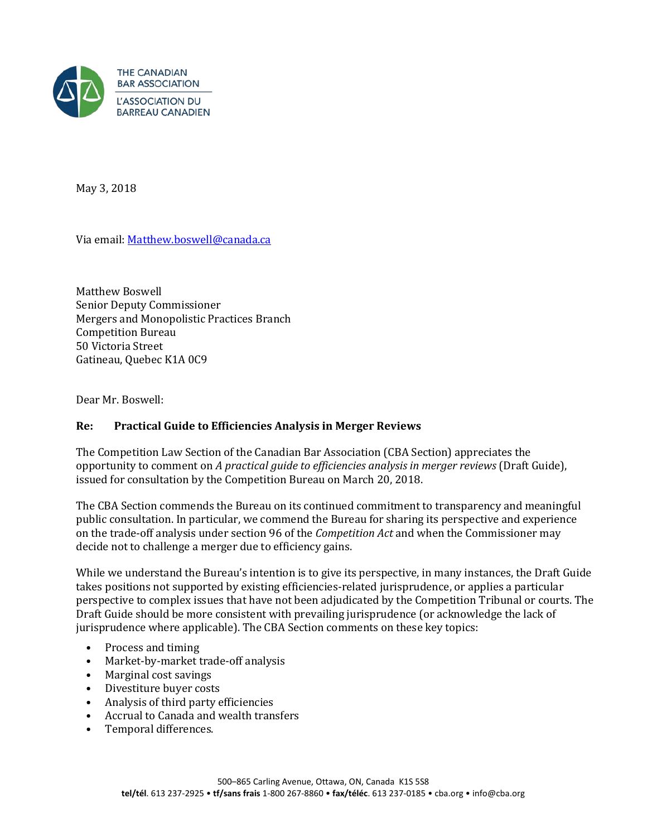

May 3, 2018

Via email: [Matthew.boswell@canada.ca](mailto:Matthew.boswell@canada.ca)

Matthew Boswell Senior Deputy Commissioner Mergers and Monopolistic Practices Branch Competition Bureau 50 Victoria Street Gatineau, Quebec K1A 0C9

Dear Mr. Boswell:

## **Re: Practical Guide to Efficiencies Analysis in Merger Reviews**

The Competition Law Section of the Canadian Bar Association (CBA Section) appreciates the opportunity to comment on *A practical guide to efficiencies analysis in merger reviews* (Draft Guide), issued for consultation by the Competition Bureau on March 20, 2018.

The CBA Section commends the Bureau on its continued commitment to transparency and meaningful public consultation. In particular, we commend the Bureau for sharing its perspective and experience on the trade-off analysis under section 96 of the *Competition Act* and when the Commissioner may decide not to challenge a merger due to efficiency gains.

While we understand the Bureau's intention is to give its perspective, in many instances, the Draft Guide takes positions not supported by existing efficiencies-related jurisprudence, or applies a particular perspective to complex issues that have not been adjudicated by the Competition Tribunal or courts. The Draft Guide should be more consistent with prevailing jurisprudence (or acknowledge the lack of jurisprudence where applicable). The CBA Section comments on these key topics:

- Process and timing<br>• Market-by-market t
- Market-by-market trade-off analysis
- 
- Marginal cost savings<br>• Divestiture buver cost • Divestiture buyer costs
- Analysis of third party efficiencies
- Accrual to Canada and wealth transfers
- Temporal differences.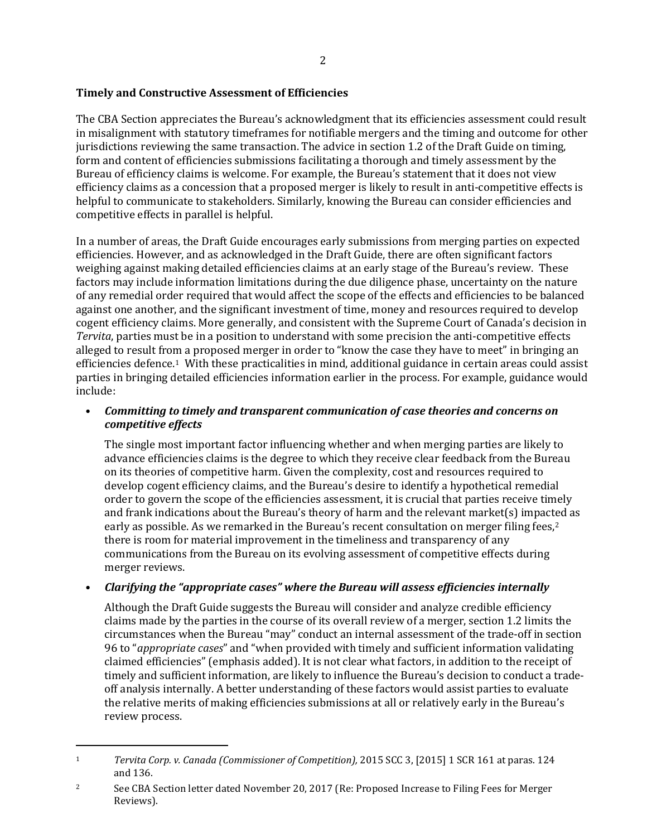# **Timely and Constructive Assessment of Efficiencies**

The CBA Section appreciates the Bureau's acknowledgment that its efficiencies assessment could result in misalignment with statutory timeframes for notifiable mergers and the timing and outcome for other jurisdictions reviewing the same transaction. The advice in section 1.2 of the Draft Guide on timing, form and content of efficiencies submissions facilitating a thorough and timely assessment by the Bureau of efficiency claims is welcome. For example, the Bureau's statement that it does not view efficiency claims as a concession that a proposed merger is likely to result in anti-competitive effects is helpful to communicate to stakeholders. Similarly, knowing the Bureau can consider efficiencies and competitive effects in parallel is helpful.

In a number of areas, the Draft Guide encourages early submissions from merging parties on expected efficiencies. However, and as acknowledged in the Draft Guide, there are often significant factors weighing against making detailed efficiencies claims at an early stage of the Bureau's review. These factors may include information limitations during the due diligence phase, uncertainty on the nature of any remedial order required that would affect the scope of the effects and efficiencies to be balanced against one another, and the significant investment of time, money and resources required to develop cogent efficiency claims. More generally, and consistent with the Supreme Court of Canada's decision in *Tervita*, parties must be in a position to understand with some precision the anti-competitive effects alleged to result from a proposed merger in order to "know the case they have to meet" in bringing an efficiencies defence.[1](#page-1-0) With these practicalities in mind, additional guidance in certain areas could assist parties in bringing detailed efficiencies information earlier in the process. For example, guidance would include:

# • *Committing to timely and transparent communication of case theories and concerns on competitive effects*

The single most important factor influencing whether and when merging parties are likely to advance efficiencies claims is the degree to which they receive clear feedback from the Bureau on its theories of competitive harm. Given the complexity, cost and resources required to develop cogent efficiency claims, and the Bureau's desire to identify a hypothetical remedial order to govern the scope of the efficiencies assessment, it is crucial that parties receive timely and frank indications about the Bureau's theory of harm and the relevant market(s) impact[e](#page-1-1)d as early as possible. As we remarked in the Bureau's recent consultation on merger filing fees,<sup>2</sup> there is room for material improvement in the timeliness and transparency of any communications from the Bureau on its evolving assessment of competitive effects during merger reviews.

## • *Clarifying the "appropriate cases" where the Bureau will assess efficiencies internally*

Although the Draft Guide suggests the Bureau will consider and analyze credible efficiency claims made by the parties in the course of its overall review of a merger, section 1.2 limits the circumstances when the Bureau "may" conduct an internal assessment of the trade-off in section 96 to "*appropriate cases*" and "when provided with timely and sufficient information validating claimed efficiencies" (emphasis added). It is not clear what factors, in addition to the receipt of timely and sufficient information, are likely to influence the Bureau's decision to conduct a tradeoff analysis internally. A better understanding of these factors would assist parties to evaluate the relative merits of making efficiencies submissions at all or relatively early in the Bureau's review process.

<span id="page-1-0"></span>j <sup>1</sup> *Tervita Corp. v. Canada (Commissioner of Competition),* 2015 SCC 3, [2015] 1 SCR 161 at paras. 124 and 136.  $\mathbf{1}$ 

<span id="page-1-1"></span><sup>&</sup>lt;sup>2</sup> See CBA Section letter dated November 20, 2017 (Re: Proposed Increase to Filing Fees for Merger Reviews).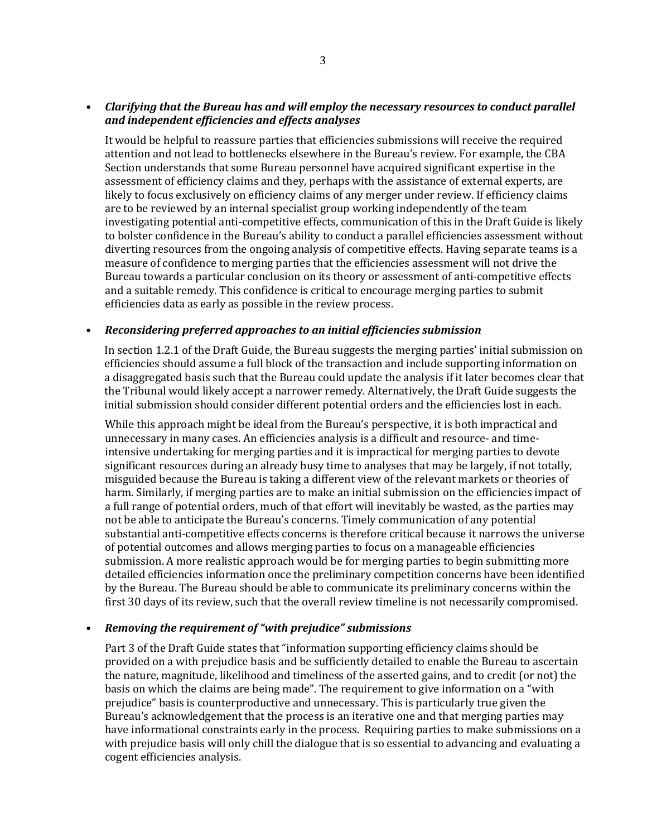#### • *Clarifying that the Bureau has and will employ the necessary resources to conduct parallel and independent efficiencies and effects analyses*

It would be helpful to reassure parties that efficiencies submissions will receive the required attention and not lead to bottlenecks elsewhere in the Bureau's review. For example, the CBA Section understands that some Bureau personnel have acquired significant expertise in the assessment of efficiency claims and they, perhaps with the assistance of external experts, are likely to focus exclusively on efficiency claims of any merger under review. If efficiency claims are to be reviewed by an internal specialist group working independently of the team investigating potential anti-competitive effects, communication of this in the Draft Guide is likely to bolster confidence in the Bureau's ability to conduct a parallel efficiencies assessment without diverting resources from the ongoing analysis of competitive effects. Having separate teams is a measure of confidence to merging parties that the efficiencies assessment will not drive the Bureau towards a particular conclusion on its theory or assessment of anti-competitive effects and a suitable remedy. This confidence is critical to encourage merging parties to submit efficiencies data as early as possible in the review process.

#### • *Reconsidering preferred approaches to an initial efficiencies submission*

In section 1.2.1 of the Draft Guide, the Bureau suggests the merging parties' initial submission on efficiencies should assume a full block of the transaction and include supporting information on a disaggregated basis such that the Bureau could update the analysis if it later becomes clear that the Tribunal would likely accept a narrower remedy. Alternatively, the Draft Guide suggests the initial submission should consider different potential orders and the efficiencies lost in each.

While this approach might be ideal from the Bureau's perspective, it is both impractical and unnecessary in many cases. An efficiencies analysis is a difficult and resource- and timeintensive undertaking for merging parties and it is impractical for merging parties to devote significant resources during an already busy time to analyses that may be largely, if not totally, misguided because the Bureau is taking a different view of the relevant markets or theories of harm. Similarly, if merging parties are to make an initial submission on the efficiencies impact of a full range of potential orders, much of that effort will inevitably be wasted, as the parties may not be able to anticipate the Bureau's concerns. Timely communication of any potential substantial anti-competitive effects concerns is therefore critical because it narrows the universe of potential outcomes and allows merging parties to focus on a manageable efficiencies submission. A more realistic approach would be for merging parties to begin submitting more detailed efficiencies information once the preliminary competition concerns have been identified by the Bureau. The Bureau should be able to communicate its preliminary concerns within the first 30 days of its review, such that the overall review timeline is not necessarily compromised.

## • *Removing the requirement of "with prejudice" submissions*

Part 3 of the Draft Guide states that "information supporting efficiency claims should be provided on a with prejudice basis and be sufficiently detailed to enable the Bureau to ascertain the nature, magnitude, likelihood and timeliness of the asserted gains, and to credit (or not) the basis on which the claims are being made". The requirement to give information on a "with prejudice" basis is counterproductive and unnecessary. This is particularly true given the Bureau's acknowledgement that the process is an iterative one and that merging parties may have informational constraints early in the process. Requiring parties to make submissions on a with prejudice basis will only chill the dialogue that is so essential to advancing and evaluating a cogent efficiencies analysis.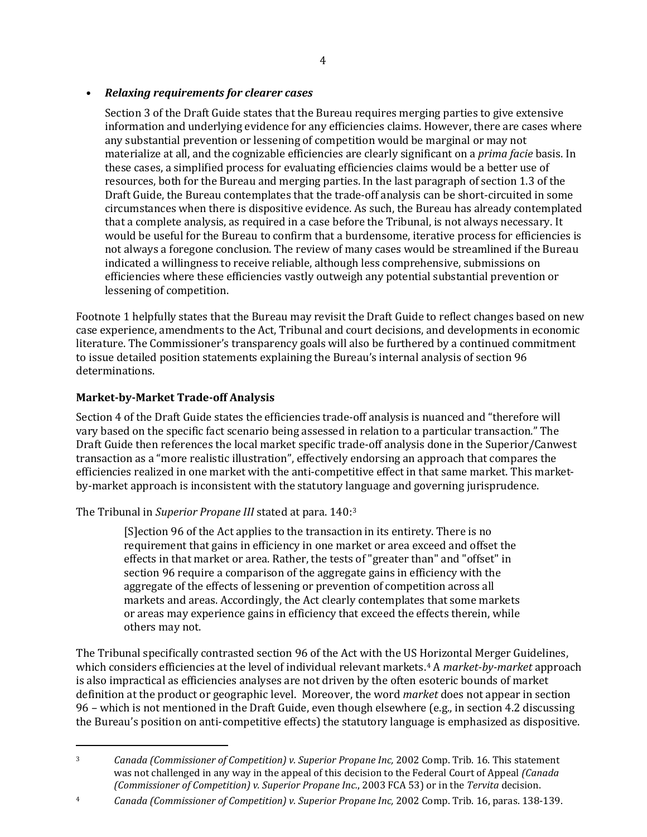#### • *Relaxing requirements for clearer cases*

Section 3 of the Draft Guide states that the Bureau requires merging parties to give extensive information and underlying evidence for any efficiencies claims. However, there are cases where any substantial prevention or lessening of competition would be marginal or may not materialize at all, and the cognizable efficiencies are clearly significant on a *prima facie* basis. In these cases, a simplified process for evaluating efficiencies claims would be a better use of resources, both for the Bureau and merging parties. In the last paragraph of section 1.3 of the Draft Guide, the Bureau contemplates that the trade-off analysis can be short-circuited in some circumstances when there is dispositive evidence. As such, the Bureau has already contemplated that a complete analysis, as required in a case before the Tribunal, is not always necessary. It would be useful for the Bureau to confirm that a burdensome, iterative process for efficiencies is not always a foregone conclusion. The review of many cases would be streamlined if the Bureau indicated a willingness to receive reliable, although less comprehensive, submissions on efficiencies where these efficiencies vastly outweigh any potential substantial prevention or lessening of competition.

Footnote 1 helpfully states that the Bureau may revisit the Draft Guide to reflect changes based on new case experience, amendments to the Act, Tribunal and court decisions, and developments in economic literature. The Commissioner's transparency goals will also be furthered by a continued commitment to issue detailed position statements explaining the Bureau's internal analysis of section 96 determinations.

## **Market-by-Market Trade-off Analysis**

j

Section 4 of the Draft Guide states the efficiencies trade-off analysis is nuanced and "therefore will vary based on the specific fact scenario being assessed in relation to a particular transaction." The Draft Guide then references the local market specific trade-off analysis done in the Superior/Canwest transaction as a "more realistic illustration", effectively endorsing an approach that compares the efficiencies realized in one market with the anti-competitive effect in that same market. This marketby-market approach is inconsistent with the statutory language and governing jurisprudence.

The Tribunal in *Superior Propane III* stated at para. 140:[3](#page-3-0)

[S]ection 96 of the Act applies to the transaction in its entirety. There is no requirement that gains in efficiency in one market or area exceed and offset the effects in that market or area. Rather, the tests of "greater than" and "offset" in section 96 require a comparison of the aggregate gains in efficiency with the aggregate of the effects of lessening or prevention of competition across all markets and areas. Accordingly, the Act clearly contemplates that some markets or areas may experience gains in efficiency that exceed the effects therein, while others may not.

The Tribunal specifically contrasted section 96 of the Act with the US [Ho](#page-3-1)rizontal Merger Guidelines, which considers efficiencies at the level of individual relevant markets.4 A *market-by-market* approach is also impractical as efficiencies analyses are not driven by the often esoteric bounds of market definition at the product or geographic level. Moreover, the word *market* does not appear in section 96 – which is not mentioned in the Draft Guide, even though elsewhere (e.g., in section 4.2 discussing the Bureau's position on anti-competitive effects) the statutory language is emphasized as dispositive.

<span id="page-3-1"></span><sup>4</sup> *Canada (Commissioner of Competition) v. Superior Propane Inc,* 2002 Comp. Trib. 16, paras. 138-139.

<span id="page-3-0"></span><sup>3</sup> *Canada (Commissioner of Competition) v. Superior Propane Inc,* 2002 Comp. Trib. 16. This statement was not challenged in any way in the appeal of this decision to the Federal Court of Appeal *(Canada (Commissioner of Competition) v. Superior Propane Inc.*, 2003 FCA 53) or in the *Tervita* decision.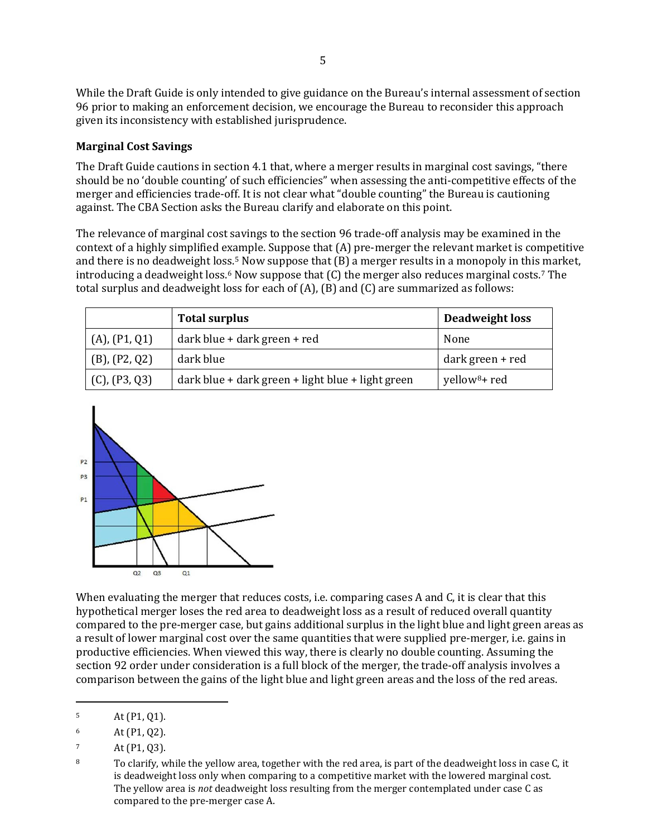While the Draft Guide is only intended to give guidance on the Bureau's internal assessment of section 96 prior to making an enforcement decision, we encourage the Bureau to reconsider this approach given its inconsistency with established jurisprudence.

#### **Marginal Cost Savings**

The Draft Guide cautions in section 4.1 that, where a merger results in marginal cost savings, "there should be no 'double counting' of such efficiencies" when assessing the anti-competitive effects of the merger and efficiencies trade-off. It is not clear what "double counting" the Bureau is cautioning against. The CBA Section asks the Bureau clarify and elaborate on this point.

The relevance of marginal cost savings to the section 96 trade-off analysis may be examined in the context of a highly simplified ex[am](#page-4-0)ple. Suppose that (A) pre-merger the relevant market is competitive and there i[s](#page-4-1) no deadweight loss.<sup>5</sup> Now suppose that (B) a merger results in a monopoly in this market, introducing a deadweight loss. $6$  Now suppose that  $(C)$  the merger also reduces marginal costs.<sup>[7](#page-4-2)</sup> The total surplus and deadweight loss for each of (A), (B) and (C) are summarized as follows:

|                    | <b>Total surplus</b>                              | Deadweight loss           |
|--------------------|---------------------------------------------------|---------------------------|
| (A), (P1, Q1)      | dark blue + dark green + red                      | None                      |
| $(B)$ , $(P2, Q2)$ | dark blue                                         | dark green + red          |
| $(C)$ , $(P3, Q3)$ | dark blue + dark green + light blue + light green | yellow <sup>8</sup> + red |



When evaluating the merger that reduces costs, i.e. comparing cases A and C, it is clear that this hypothetical merger loses the red area to deadweight loss as a result of reduced overall quantity compared to the pre-merger case, but gains additional surplus in the light blue and light green areas as a result of lower marginal cost over the same quantities that were supplied pre-merger, i.e. gains in productive efficiencies. When viewed this way, there is clearly no double counting. Assuming the section 92 order under consideration is a full block of the merger, the trade-off analysis involves a comparison between the gains of the light blue and light green areas and the loss of the red areas.

<span id="page-4-0"></span>j  $5$  At (P1, Q1).

<span id="page-4-1"></span> $6$  At (P1, Q2).

<span id="page-4-2"></span> $\frac{7}{8}$  At (P1, Q3).

<span id="page-4-3"></span><sup>8</sup> To clarify, while the yellow area, together with the red area, is part of the deadweight loss in case C, it is deadweight loss only when comparing to a competitive market with the lowered marginal cost. The yellow area is *not* deadweight loss resulting from the merger contemplated under case C as compared to the pre-merger case A.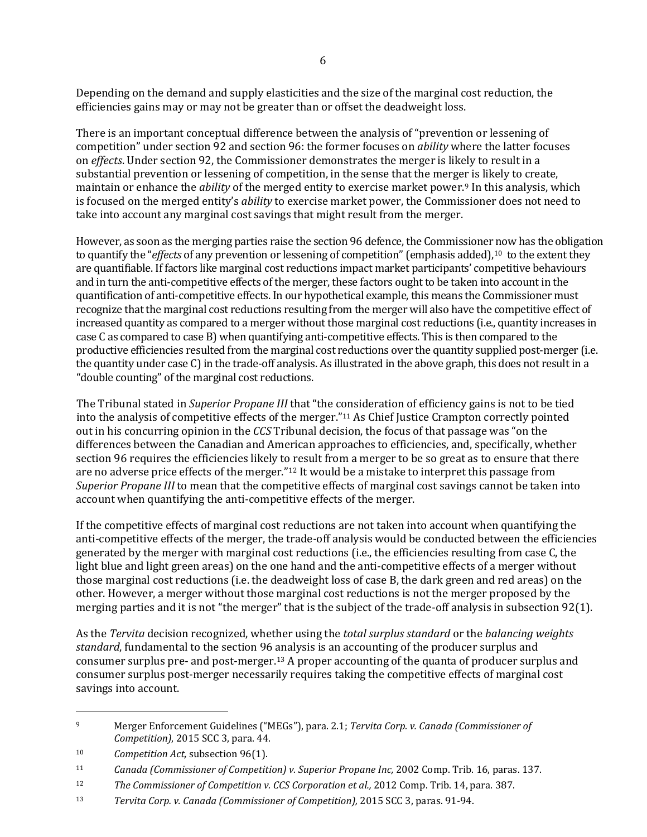Depending on the demand and supply elasticities and the size of the marginal cost reduction, the efficiencies gains may or may not be greater than or offset the deadweight loss.

There is an important conceptual difference between the analysis of "prevention or lessening of competition" under section 92 and section 96: the former focuses on *ability* where the latter focuses on *effects*. Under section 92, the Commissioner demonstrates the merger is likely to result in a substantial prevention or lessening of competition, in the sense that the merger is likely to create, maintain or enhance the *ability* of the merged entity to exercise market power.[9](#page-5-0) In this analysis, which is focused on the merged entity's *ability* to exercise market power, the Commissioner does not need to take into account any marginal cost savings that might result from the merger.

However, as soon as the merging parties raise the section 96 defence, the Commissioner now has the obligation to quantify the "*effects* of any prevention or lessening of competition" (emphasis added),<sup>[10](#page-5-1)</sup> to the extent they are quantifiable. If factors like marginal cost reductions impact market participants' competitive behaviours and in turn the anti-competitive effects of the merger, these factors ought to be taken into account in the quantification of anti-competitive effects. In our hypothetical example, this means the Commissioner must recognize that the marginal cost reductions resulting from the merger will also have the competitive effect of increased quantity as compared to a merger without those marginal cost reductions (i.e., quantity increases in case C as compared to case B) when quantifying anti-competitive effects. This is then compared to the productive efficiencies resulted from the marginal cost reductions over the quantity supplied post-merger (i.e. the quantity under case C) in the trade-off analysis. As illustrated in the above graph, this does not result in a "double counting" of the marginal cost reductions.

The Tribunal stated in *Superior Propane III* that "the consideration of efficiency gains is not to be tied into the analysis of competitive effects of the merger.["11](#page-5-2) As Chief Justice Crampton correctly pointed out in his concurring opinion in the *CCS* Tribunal decision, the focus of that passage was "on the differences between the Canadian and American approaches to efficiencies, and, specifically, whether section 96 requires the efficiencies likely to result from a merger to be so great as to ensure that there are no adverse price effects of the merger."[12](#page-5-3) It would be a mistake to interpret this passage from *Superior Propane III* to mean that the competitive effects of marginal cost savings cannot be taken into account when quantifying the anti-competitive effects of the merger.

If the competitive effects of marginal cost reductions are not taken into account when quantifying the anti-competitive effects of the merger, the trade-off analysis would be conducted between the efficiencies generated by the merger with marginal cost reductions (i.e., the efficiencies resulting from case C, the light blue and light green areas) on the one hand and the anti-competitive effects of a merger without those marginal cost reductions (i.e. the deadweight loss of case B, the dark green and red areas) on the other. However, a merger without those marginal cost reductions is not the merger proposed by the merging parties and it is not "the merger" that is the subject of the trade-off analysis in subsection 92(1).

As the *Tervita* decision recognized, whether using the *total surplus standard* or the *balancing weights standard*, fundamental to the section 96 analysis is an accounting of the producer surplus and consumer surplus pre- and post-merger.[13](#page-5-4) A proper accounting of the quanta of producer surplus and consumer surplus post-merger necessarily requires taking the competitive effects of marginal cost savings into account.

j

<span id="page-5-0"></span><sup>9</sup> Merger Enforcement Guidelines ("MEGs"), para. 2.1; *Tervita Corp. v. Canada (Commissioner of Competition)*, 2015 SCC 3, para. 44.

<span id="page-5-1"></span><sup>10</sup> *Competition Act,* subsection 96(1).

<span id="page-5-2"></span><sup>11</sup> *Canada (Commissioner of Competition) v. Superior Propane Inc,* 2002 Comp. Trib. 16, paras. 137.

<span id="page-5-3"></span><sup>12</sup> *The Commissioner of Competition v. CCS Corporation et al.,* 2012 Comp. Trib. 14, para. 387.

<span id="page-5-4"></span><sup>13</sup> *Tervita Corp. v. Canada (Commissioner of Competition),* 2015 SCC 3, paras. 91-94.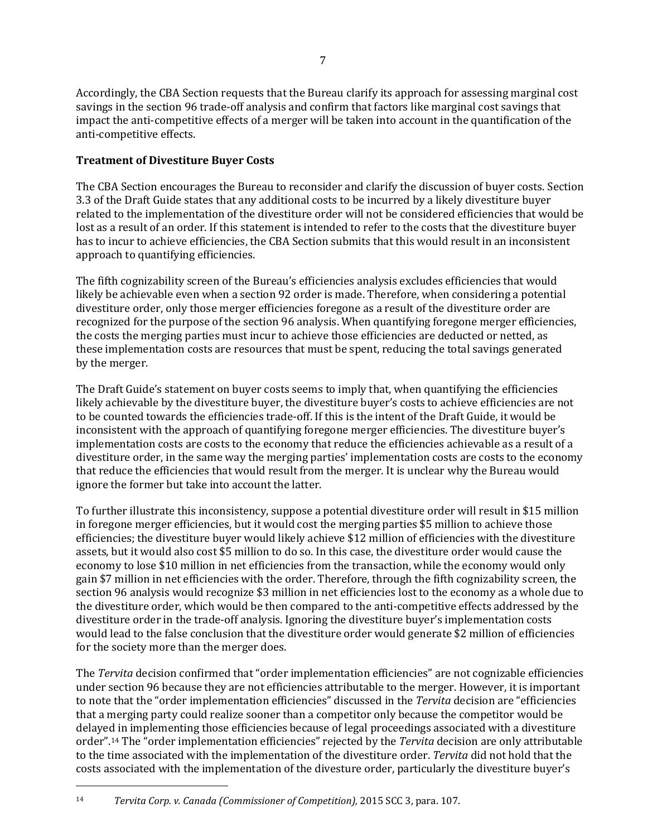Accordingly, the CBA Section requests that the Bureau clarify its approach for assessing marginal cost savings in the section 96 trade-off analysis and confirm that factors like marginal cost savings that impact the anti-competitive effects of a merger will be taken into account in the quantification of the anti-competitive effects.

#### **Treatment of Divestiture Buyer Costs**

The CBA Section encourages the Bureau to reconsider and clarify the discussion of buyer costs. Section 3.3 of the Draft Guide states that any additional costs to be incurred by a likely divestiture buyer related to the implementation of the divestiture order will not be considered efficiencies that would be lost as a result of an order. If this statement is intended to refer to the costs that the divestiture buyer has to incur to achieve efficiencies, the CBA Section submits that this would result in an inconsistent approach to quantifying efficiencies.

The fifth cognizability screen of the Bureau's efficiencies analysis excludes efficiencies that would likely be achievable even when a section 92 order is made. Therefore, when considering a potential divestiture order, only those merger efficiencies foregone as a result of the divestiture order are recognized for the purpose of the section 96 analysis. When quantifying foregone merger efficiencies, the costs the merging parties must incur to achieve those efficiencies are deducted or netted, as these implementation costs are resources that must be spent, reducing the total savings generated by the merger.

The Draft Guide's statement on buyer costs seems to imply that, when quantifying the efficiencies likely achievable by the divestiture buyer, the divestiture buyer's costs to achieve efficiencies are not to be counted towards the efficiencies trade-off. If this is the intent of the Draft Guide, it would be inconsistent with the approach of quantifying foregone merger efficiencies. The divestiture buyer's implementation costs are costs to the economy that reduce the efficiencies achievable as a result of a divestiture order, in the same way the merging parties' implementation costs are costs to the economy that reduce the efficiencies that would result from the merger. It is unclear why the Bureau would ignore the former but take into account the latter.

To further illustrate this inconsistency, suppose a potential divestiture order will result in \$15 million in foregone merger efficiencies, but it would cost the merging parties \$5 million to achieve those efficiencies; the divestiture buyer would likely achieve \$12 million of efficiencies with the divestiture assets, but it would also cost \$5 million to do so. In this case, the divestiture order would cause the economy to lose \$10 million in net efficiencies from the transaction, while the economy would only gain \$7 million in net efficiencies with the order. Therefore, through the fifth cognizability screen, the section 96 analysis would recognize \$3 million in net efficiencies lost to the economy as a whole due to the divestiture order, which would be then compared to the anti-competitive effects addressed by the divestiture order in the trade-off analysis. Ignoring the divestiture buyer's implementation costs would lead to the false conclusion that the divestiture order would generate \$2 million of efficiencies for the society more than the merger does.

The *Tervita* decision confirmed that "order implementation efficiencies" are not cognizable efficiencies under section 96 because they are not efficiencies attributable to the merger. However, it is important to note that the "order implementation efficiencies" discussed in the *Tervita* decision are "efficiencies that a merging party could realize sooner than a competitor only because the competitor would be delayed in implementing those efficiencies because of legal proceedings associated with a divestiture order"[.14](#page-6-0) The "order implementation efficiencies" rejected by the *Tervita* decision are only attributable to the time associated with the implementation of the divestiture order. *Tervita* did not hold that the costs associated with the implementation of the divesture order, particularly the divestiture buyer's

<span id="page-6-0"></span><sup>14</sup> *Tervita Corp. v. Canada (Commissioner of Competition),* 2015 SCC 3, para. 107.

j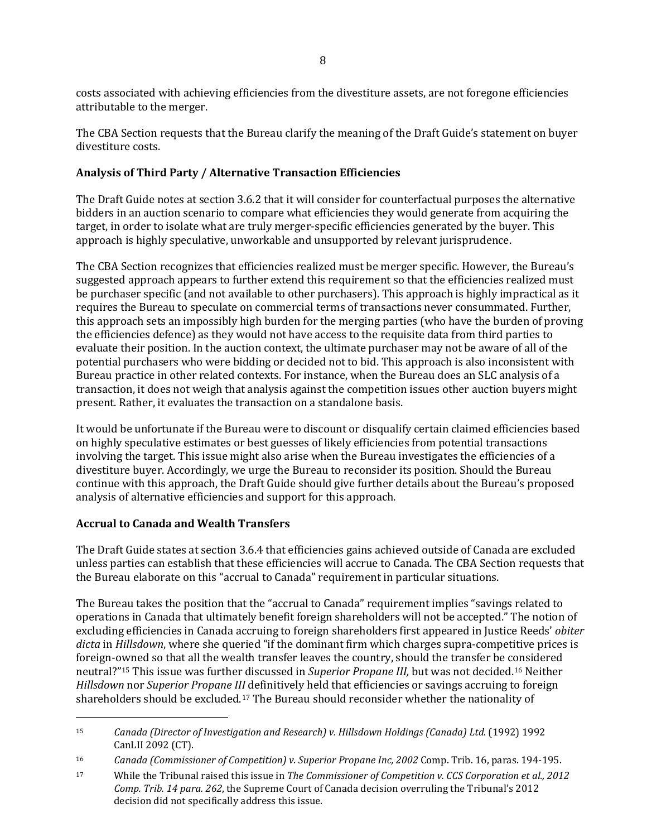costs associated with achieving efficiencies from the divestiture assets, are not foregone efficiencies attributable to the merger.

The CBA Section requests that the Bureau clarify the meaning of the Draft Guide's statement on buyer divestiture costs.

# **Analysis of Third Party / Alternative Transaction Efficiencies**

The Draft Guide notes at section 3.6.2 that it will consider for counterfactual purposes the alternative bidders in an auction scenario to compare what efficiencies they would generate from acquiring the target, in order to isolate what are truly merger-specific efficiencies generated by the buyer. This approach is highly speculative, unworkable and unsupported by relevant jurisprudence.

The CBA Section recognizes that efficiencies realized must be merger specific. However, the Bureau's suggested approach appears to further extend this requirement so that the efficiencies realized must be purchaser specific (and not available to other purchasers). This approach is highly impractical as it requires the Bureau to speculate on commercial terms of transactions never consummated. Further, this approach sets an impossibly high burden for the merging parties (who have the burden of proving the efficiencies defence) as they would not have access to the requisite data from third parties to evaluate their position. In the auction context, the ultimate purchaser may not be aware of all of the potential purchasers who were bidding or decided not to bid. This approach is also inconsistent with Bureau practice in other related contexts. For instance, when the Bureau does an SLC analysis of a transaction, it does not weigh that analysis against the competition issues other auction buyers might present. Rather, it evaluates the transaction on a standalone basis.

It would be unfortunate if the Bureau were to discount or disqualify certain claimed efficiencies based on highly speculative estimates or best guesses of likely efficiencies from potential transactions involving the target. This issue might also arise when the Bureau investigates the efficiencies of a divestiture buyer. Accordingly, we urge the Bureau to reconsider its position. Should the Bureau continue with this approach, the Draft Guide should give further details about the Bureau's proposed analysis of alternative efficiencies and support for this approach.

## **Accrual to Canada and Wealth Transfers**

j

The Draft Guide states at section 3.6.4 that efficiencies gains achieved outside of Canada are excluded unless parties can establish that these efficiencies will accrue to Canada. The CBA Section requests that the Bureau elaborate on this "accrual to Canada" requirement in particular situations.

The Bureau takes the position that the "accrual to Canada" requirement implies "savings related to operations in Canada that ultimately benefit foreign shareholders will not be accepted." The notion of excluding efficiencies in Canada accruing to foreign shareholders first appeared in Justice Reeds' *obiter dicta* in *Hillsdown*, where she queried "if the dominant firm which charges supra-competitive prices is foreign-owned so that all the wealth transfer leaves the country, should the transfer be c[on](#page-7-1)sidered neutral?["15](#page-7-0) This issue was further discussed in *Superior Propane III,* but was not decided.16 Neither *Hillsdown* nor *Superior Propane III* definitively held that efficiencies or savings accruing to foreign shareholders should be excluded.[17](#page-7-2) The Bureau should reconsider whether the nationality of

<span id="page-7-0"></span><sup>15</sup> *Canada (Director of Investigation and Research) v. Hillsdown Holdings (Canada) Ltd.* (1992) 1992 CanLII 2092 (CT).

<span id="page-7-1"></span><sup>16</sup> *Canada (Commissioner of Competition) v. Superior Propane Inc, 2002* Comp. Trib. 16, paras. 194-195.

<span id="page-7-2"></span><sup>17</sup> While the Tribunal raised this issue in *The Commissioner of Competition v. CCS Corporation et al., 2012 Comp. Trib. 14 para. 262*, the Supreme Court of Canada decision overruling the Tribunal's 2012 decision did not specifically address this issue.